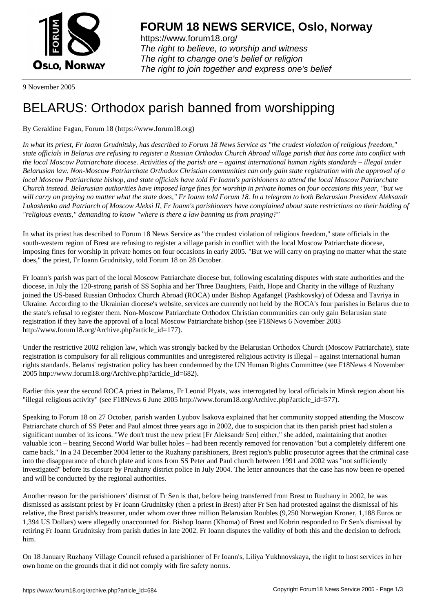

https://www.forum18.org/ The right to believe, to worship and witness The right to change one's belief or religion [The right to join together a](https://www.forum18.org/)nd express one's belief

9 November 2005

## [BELARUS: Orth](https://www.forum18.org)odox parish banned from worshipping

## By Geraldine Fagan, Forum 18 (https://www.forum18.org)

*In what its priest, Fr Ioann Grudnitsky, has described to Forum 18 News Service as "the crudest violation of religious freedom," state officials in Belarus are refusing to register a Russian Orthodox Church Abroad village parish that has come into conflict with the local Moscow Patriarchate diocese. Activities of the parish are – against international human rights standards – illegal under Belarusian law. Non-Moscow Patriarchate Orthodox Christian communities can only gain state registration with the approval of a local Moscow Patriarchate bishop, and state officials have told Fr Ioann's parishioners to attend the local Moscow Patriarchate Church instead. Belarusian authorities have imposed large fines for worship in private homes on four occasions this year, "but we will carry on praying no matter what the state does," Fr Ioann told Forum 18. In a telegram to both Belarusian President Aleksandr Lukashenko and Patriarch of Moscow Aleksi II, Fr Ioann's parishioners have complained about state restrictions on their holding of "religious events," demanding to know "where is there a law banning us from praying?"*

In what its priest has described to Forum 18 News Service as "the crudest violation of religious freedom," state officials in the south-western region of Brest are refusing to register a village parish in conflict with the local Moscow Patriarchate diocese, imposing fines for worship in private homes on four occasions in early 2005. "But we will carry on praying no matter what the state does," the priest, Fr Ioann Grudnitsky, told Forum 18 on 28 October.

Fr Ioann's parish was part of the local Moscow Patriarchate diocese but, following escalating disputes with state authorities and the diocese, in July the 120-strong parish of SS Sophia and her Three Daughters, Faith, Hope and Charity in the village of Ruzhany joined the US-based Russian Orthodox Church Abroad (ROCA) under Bishop Agafangel (Pashkovsky) of Odessa and Tavriya in Ukraine. According to the Ukrainian diocese's website, services are currently not held by the ROCA's four parishes in Belarus due to the state's refusal to register them. Non-Moscow Patriarchate Orthodox Christian communities can only gain Belarusian state registration if they have the approval of a local Moscow Patriarchate bishop (see F18News 6 November 2003 http://www.forum18.org/Archive.php?article\_id=177).

Under the restrictive 2002 religion law, which was strongly backed by the Belarusian Orthodox Church (Moscow Patriarchate), state registration is compulsory for all religious communities and unregistered religious activity is illegal – against international human rights standards. Belarus' registration policy has been condemned by the UN Human Rights Committee (see F18News 4 November 2005 http://www.forum18.org/Archive.php?article\_id=682).

Earlier this year the second ROCA priest in Belarus, Fr Leonid Plyats, was interrogated by local officials in Minsk region about his "illegal religious activity" (see F18News 6 June 2005 http://www.forum18.org/Archive.php?article\_id=577).

Speaking to Forum 18 on 27 October, parish warden Lyubov Isakova explained that her community stopped attending the Moscow Patriarchate church of SS Peter and Paul almost three years ago in 2002, due to suspicion that its then parish priest had stolen a significant number of its icons. "We don't trust the new priest [Fr Aleksandr Sen] either," she added, maintaining that another valuable icon – bearing Second World War bullet holes – had been recently removed for renovation "but a completely different one came back." In a 24 December 2004 letter to the Ruzhany parishioners, Brest region's public prosecutor agrees that the criminal case into the disappearance of church plate and icons from SS Peter and Paul church between 1991 and 2002 was "not sufficiently investigated" before its closure by Pruzhany district police in July 2004. The letter announces that the case has now been re-opened and will be conducted by the regional authorities.

Another reason for the parishioners' distrust of Fr Sen is that, before being transferred from Brest to Ruzhany in 2002, he was dismissed as assistant priest by Fr Ioann Grudnitsky (then a priest in Brest) after Fr Sen had protested against the dismissal of his relative, the Brest parish's treasurer, under whom over three million Belarusian Roubles (9,250 Norwegian Kroner, 1,188 Euros or 1,394 US Dollars) were allegedly unaccounted for. Bishop Ioann (Khoma) of Brest and Kobrin responded to Fr Sen's dismissal by retiring Fr Ioann Grudnitsky from parish duties in late 2002. Fr Ioann disputes the validity of both this and the decision to defrock him.

On 18 January Ruzhany Village Council refused a parishioner of Fr Ioann's, Liliya Yukhnovskaya, the right to host services in her own home on the grounds that it did not comply with fire safety norms.